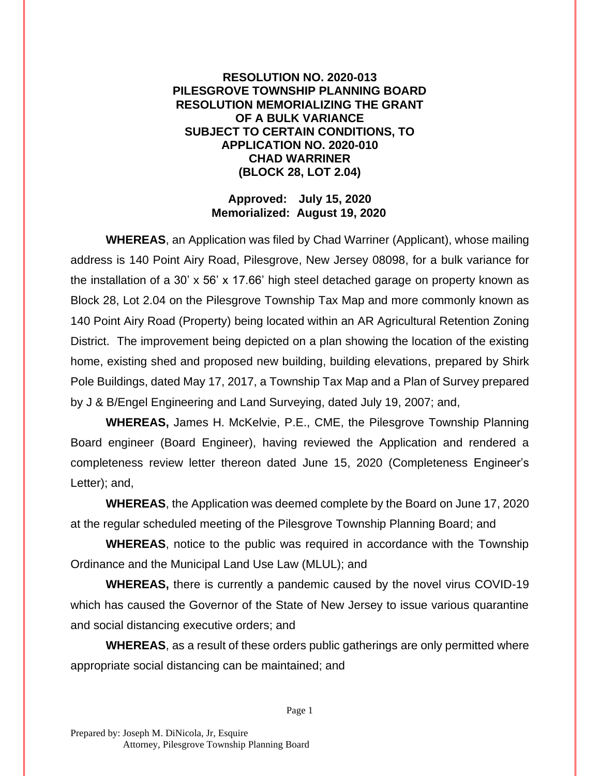## **RESOLUTION NO. 2020-013 PILESGROVE TOWNSHIP PLANNING BOARD RESOLUTION MEMORIALIZING THE GRANT OF A BULK VARIANCE SUBJECT TO CERTAIN CONDITIONS, TO APPLICATION NO. 2020-010 CHAD WARRINER (BLOCK 28, LOT 2.04)**

## **Approved: July 15, 2020 Memorialized: August 19, 2020**

**WHEREAS**, an Application was filed by Chad Warriner (Applicant), whose mailing address is 140 Point Airy Road, Pilesgrove, New Jersey 08098, for a bulk variance for the installation of a 30' x 56' x 17.66' high steel detached garage on property known as Block 28, Lot 2.04 on the Pilesgrove Township Tax Map and more commonly known as 140 Point Airy Road (Property) being located within an AR Agricultural Retention Zoning District. The improvement being depicted on a plan showing the location of the existing home, existing shed and proposed new building, building elevations, prepared by Shirk Pole Buildings, dated May 17, 2017, a Township Tax Map and a Plan of Survey prepared by J & B/Engel Engineering and Land Surveying, dated July 19, 2007; and,

**WHEREAS,** James H. McKelvie, P.E., CME, the Pilesgrove Township Planning Board engineer (Board Engineer), having reviewed the Application and rendered a completeness review letter thereon dated June 15, 2020 (Completeness Engineer's Letter); and,

**WHEREAS**, the Application was deemed complete by the Board on June 17, 2020 at the regular scheduled meeting of the Pilesgrove Township Planning Board; and

**WHEREAS**, notice to the public was required in accordance with the Township Ordinance and the Municipal Land Use Law (MLUL); and

**WHEREAS,** there is currently a pandemic caused by the novel virus COVID-19 which has caused the Governor of the State of New Jersey to issue various quarantine and social distancing executive orders; and

**WHEREAS**, as a result of these orders public gatherings are only permitted where appropriate social distancing can be maintained; and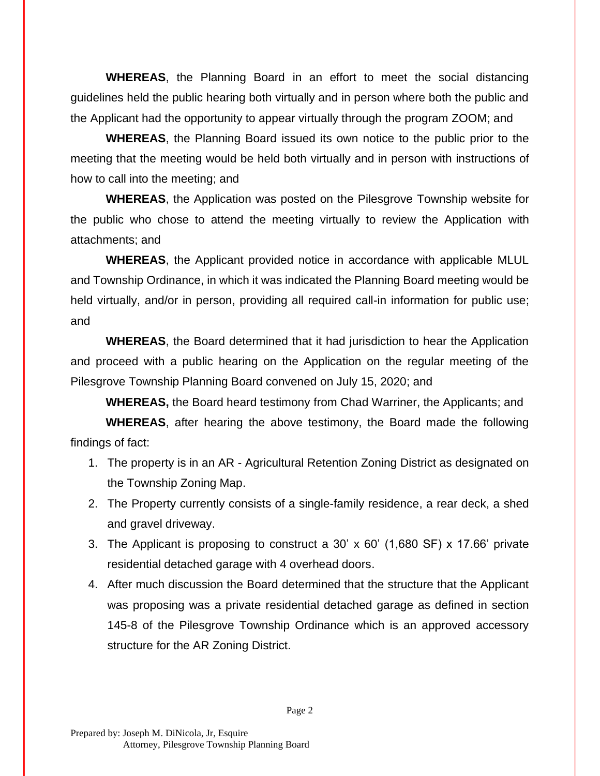**WHEREAS**, the Planning Board in an effort to meet the social distancing guidelines held the public hearing both virtually and in person where both the public and the Applicant had the opportunity to appear virtually through the program ZOOM; and

**WHEREAS**, the Planning Board issued its own notice to the public prior to the meeting that the meeting would be held both virtually and in person with instructions of how to call into the meeting; and

**WHEREAS**, the Application was posted on the Pilesgrove Township website for the public who chose to attend the meeting virtually to review the Application with attachments; and

**WHEREAS**, the Applicant provided notice in accordance with applicable MLUL and Township Ordinance, in which it was indicated the Planning Board meeting would be held virtually, and/or in person, providing all required call-in information for public use; and

**WHEREAS**, the Board determined that it had jurisdiction to hear the Application and proceed with a public hearing on the Application on the regular meeting of the Pilesgrove Township Planning Board convened on July 15, 2020; and

**WHEREAS,** the Board heard testimony from Chad Warriner, the Applicants; and

**WHEREAS**, after hearing the above testimony, the Board made the following findings of fact:

- 1. The property is in an AR Agricultural Retention Zoning District as designated on the Township Zoning Map.
- 2. The Property currently consists of a single-family residence, a rear deck, a shed and gravel driveway.
- 3. The Applicant is proposing to construct a 30' x 60' (1,680 SF) x 17.66' private residential detached garage with 4 overhead doors.
- 4. After much discussion the Board determined that the structure that the Applicant was proposing was a private residential detached garage as defined in section 145-8 of the Pilesgrove Township Ordinance which is an approved accessory structure for the AR Zoning District.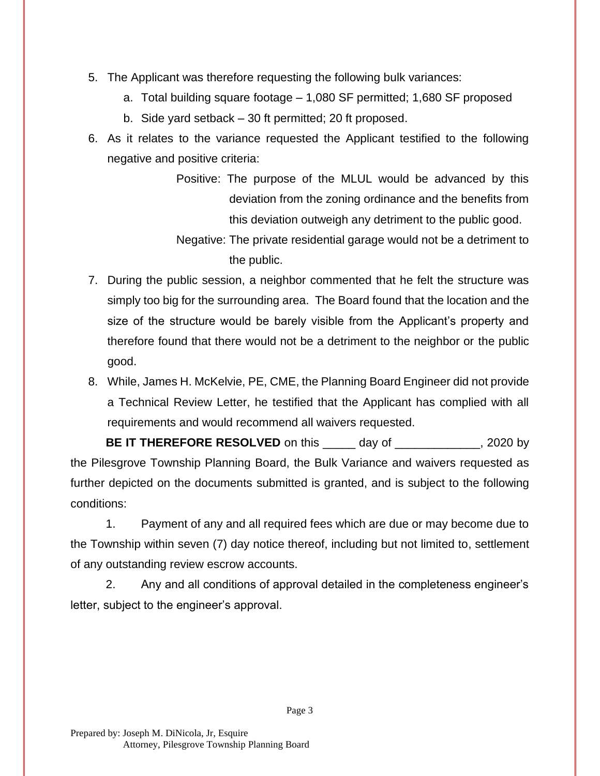- 5. The Applicant was therefore requesting the following bulk variances:
	- a. Total building square footage 1,080 SF permitted; 1,680 SF proposed
	- b. Side yard setback 30 ft permitted; 20 ft proposed.
- 6. As it relates to the variance requested the Applicant testified to the following negative and positive criteria:
	- Positive: The purpose of the MLUL would be advanced by this deviation from the zoning ordinance and the benefits from this deviation outweigh any detriment to the public good.
	- Negative: The private residential garage would not be a detriment to the public.
- 7. During the public session, a neighbor commented that he felt the structure was simply too big for the surrounding area. The Board found that the location and the size of the structure would be barely visible from the Applicant's property and therefore found that there would not be a detriment to the neighbor or the public good.
- 8. While, James H. McKelvie, PE, CME, the Planning Board Engineer did not provide a Technical Review Letter, he testified that the Applicant has complied with all requirements and would recommend all waivers requested.

**BE IT THEREFORE RESOLVED** on this day of the same of the same of the same of the same of the same of the same of the same of the same of the same of the same of the same of the same of the same of the same of the same of the Pilesgrove Township Planning Board, the Bulk Variance and waivers requested as further depicted on the documents submitted is granted, and is subject to the following conditions:

1. Payment of any and all required fees which are due or may become due to the Township within seven (7) day notice thereof, including but not limited to, settlement of any outstanding review escrow accounts.

2. Any and all conditions of approval detailed in the completeness engineer's letter, subject to the engineer's approval.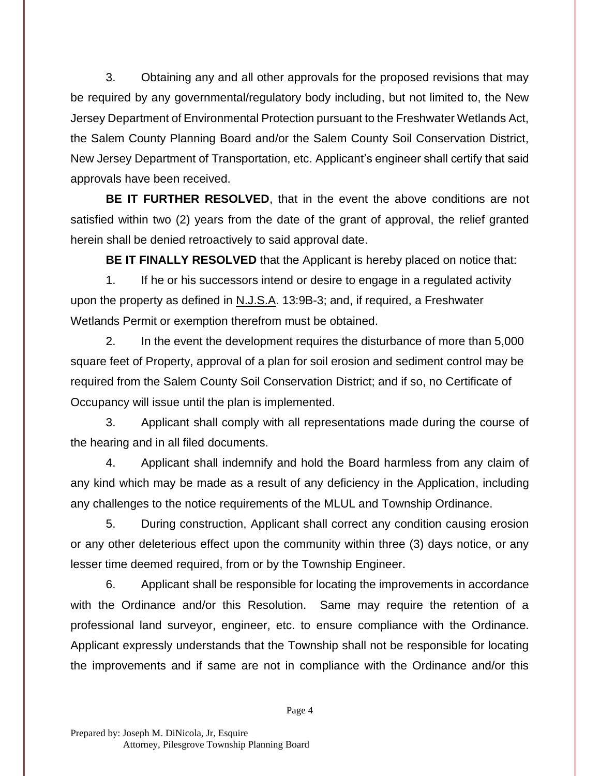3. Obtaining any and all other approvals for the proposed revisions that may be required by any governmental/regulatory body including, but not limited to, the New Jersey Department of Environmental Protection pursuant to the Freshwater Wetlands Act, the Salem County Planning Board and/or the Salem County Soil Conservation District, New Jersey Department of Transportation, etc. Applicant's engineer shall certify that said approvals have been received.

**BE IT FURTHER RESOLVED**, that in the event the above conditions are not satisfied within two (2) years from the date of the grant of approval, the relief granted herein shall be denied retroactively to said approval date.

**BE IT FINALLY RESOLVED** that the Applicant is hereby placed on notice that:

1. If he or his successors intend or desire to engage in a regulated activity upon the property as defined in N.J.S.A. 13:9B-3; and, if required, a Freshwater Wetlands Permit or exemption therefrom must be obtained.

2. In the event the development requires the disturbance of more than 5,000 square feet of Property, approval of a plan for soil erosion and sediment control may be required from the Salem County Soil Conservation District; and if so, no Certificate of Occupancy will issue until the plan is implemented.

3. Applicant shall comply with all representations made during the course of the hearing and in all filed documents.

4. Applicant shall indemnify and hold the Board harmless from any claim of any kind which may be made as a result of any deficiency in the Application, including any challenges to the notice requirements of the MLUL and Township Ordinance.

5. During construction, Applicant shall correct any condition causing erosion or any other deleterious effect upon the community within three (3) days notice, or any lesser time deemed required, from or by the Township Engineer.

6. Applicant shall be responsible for locating the improvements in accordance with the Ordinance and/or this Resolution. Same may require the retention of a professional land surveyor, engineer, etc. to ensure compliance with the Ordinance. Applicant expressly understands that the Township shall not be responsible for locating the improvements and if same are not in compliance with the Ordinance and/or this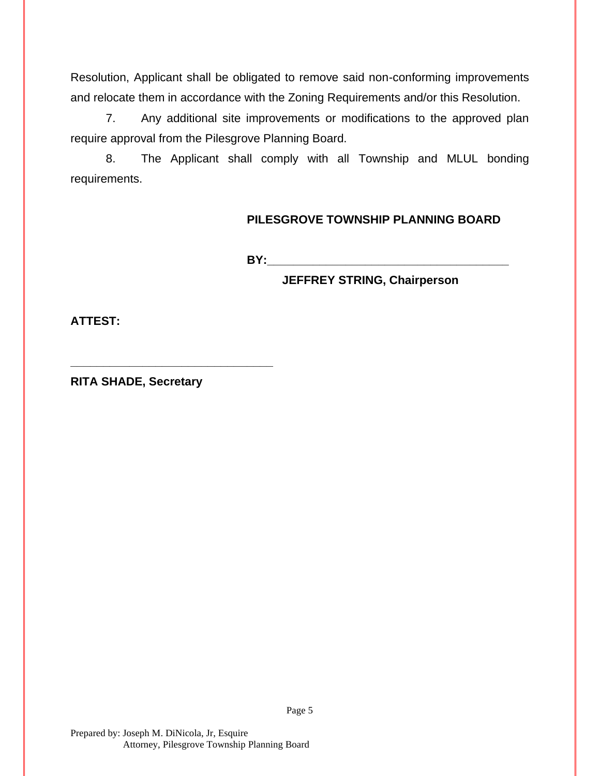Resolution, Applicant shall be obligated to remove said non-conforming improvements and relocate them in accordance with the Zoning Requirements and/or this Resolution.

7. Any additional site improvements or modifications to the approved plan require approval from the Pilesgrove Planning Board.

8. The Applicant shall comply with all Township and MLUL bonding requirements.

## **PILESGROVE TOWNSHIP PLANNING BOARD**

**BY:** 

**JEFFREY STRING, Chairperson**

**ATTEST:**

**RITA SHADE, Secretary**

**\_\_\_\_\_\_\_\_\_\_\_\_\_\_\_\_\_\_\_\_\_\_\_\_\_\_\_\_\_\_\_**